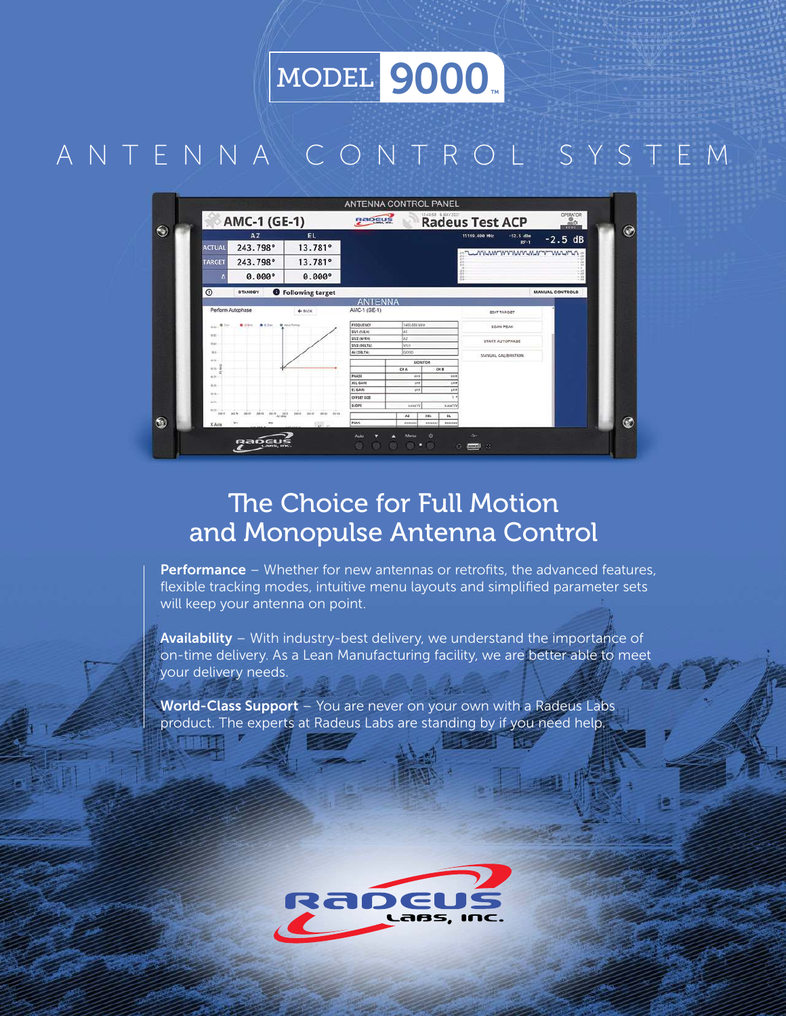MODEL 9000

# ANTENNA CONTROL SYSTEM



# The Choice for Full Motion and Monopulse Antenna Control

Performance - Whether for new antennas or retrofits, the advanced features, flexible tracking modes, intuitive menu layouts and simplified parameter sets will keep your antenna on point.

Availability – With industry-best delivery, we understand the importance of on-time delivery. As a Lean Manufacturing facility, we are better able to meet your delivery needs.

World-Class Support - You are never on your own with a Radeus Labs product. The experts at Radeus Labs are standing by if you need help.

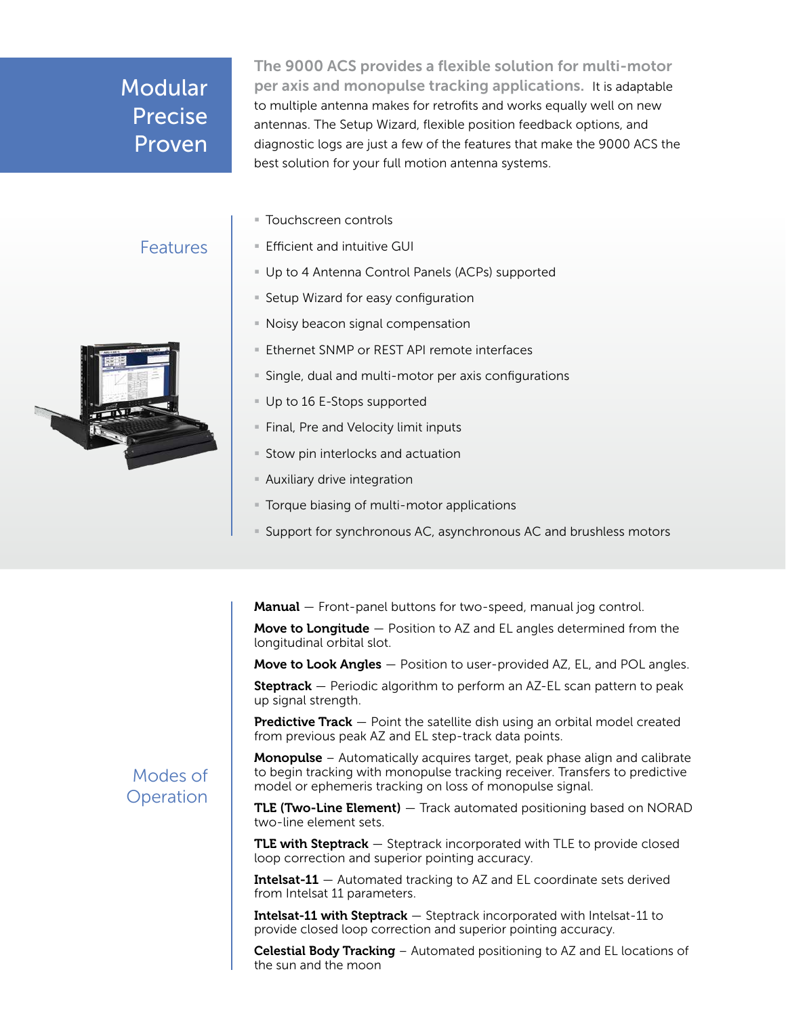## Modular Precise Proven

The 9000 ACS provides a flexible solution for multi-motor per axis and monopulse tracking applications. It is adaptable to multiple antenna makes for retrofits and works equally well on new antennas. The Setup Wizard, flexible position feedback options, and diagnostic logs are just a few of the features that make the 9000 ACS the best solution for your full motion antenna systems.

■ Touchscreen controls

### Features



- Efficient and intuitive GUI
- § Up to 4 Antenna Control Panels (ACPs) supported
- Setup Wizard for easy configuration
- Noisy beacon signal compensation
- Ethernet SNMP or REST API remote interfaces
- Single, dual and multi-motor per axis configurations
- Up to 16 E-Stops supported
- **Final, Pre and Velocity limit inputs**
- Stow pin interlocks and actuation
- **E** Auxiliary drive integration
- **Torque biasing of multi-motor applications**
- § Support for synchronous AC, asynchronous AC and brushless motors

Manual – Front-panel buttons for two-speed, manual jog control.

**Move to Longitude**  $-$  Position to AZ and EL angles determined from the longitudinal orbital slot.

Move to Look Angles - Position to user-provided AZ, EL, and POL angles.

**Steptrack**  $-$  Periodic algorithm to perform an AZ-EL scan pattern to peak up signal strength.

**Predictive Track**  $-$  Point the satellite dish using an orbital model created from previous peak AZ and EL step-track data points.

**Monopulse** – Automatically acquires target, peak phase align and calibrate to begin tracking with monopulse tracking receiver. Transfers to predictive model or ephemeris tracking on loss of monopulse signal.

TLE (Two-Line Element) - Track automated positioning based on NORAD two-line element sets.

TLE with Steptrack - Steptrack incorporated with TLE to provide closed loop correction and superior pointing accuracy.

**Intelsat-11**  $-$  Automated tracking to AZ and EL coordinate sets derived from Intelsat 11 parameters.

Intelsat-11 with Steptrack - Steptrack incorporated with Intelsat-11 to provide closed loop correction and superior pointing accuracy.

Celestial Body Tracking - Automated positioning to AZ and EL locations of the sun and the moon

#### Modes of **Operation**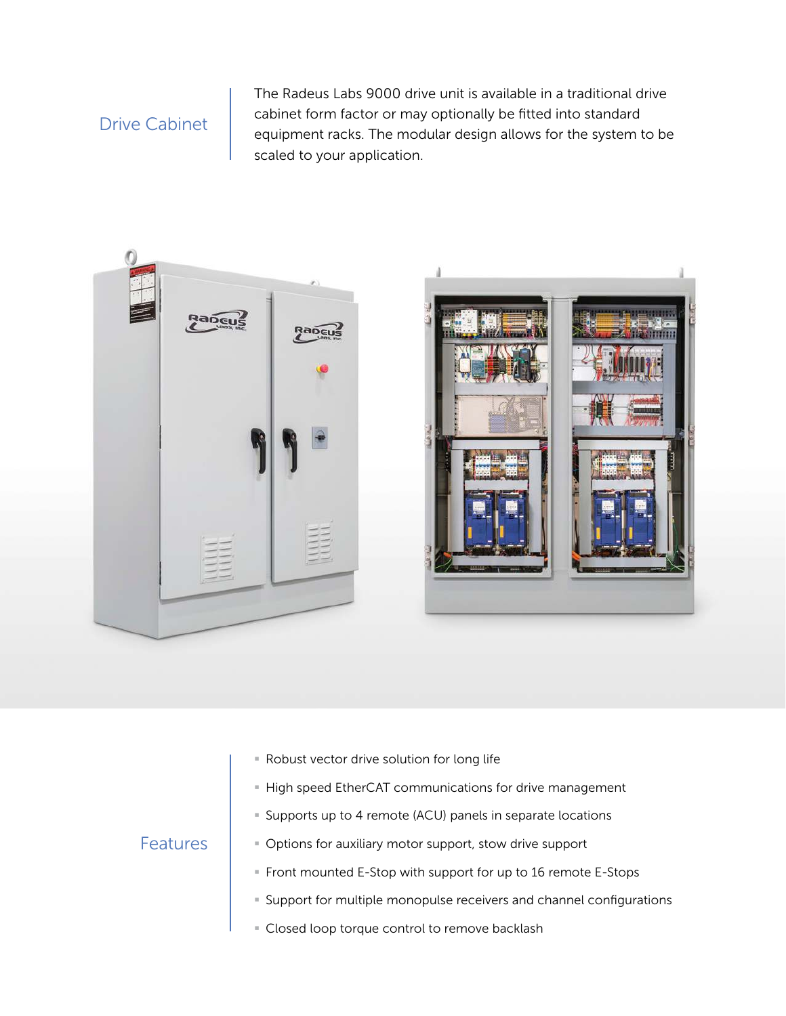### Drive Cabinet

The Radeus Labs 9000 drive unit is available in a traditional drive cabinet form factor or may optionally be fitted into standard equipment racks. The modular design allows for the system to be scaled to your application.



- § Robust vector drive solution for long life
- **EXTERS In Section EtherCAT communications for drive management**
- § Supports up to 4 remote (ACU) panels in separate locations

#### Features

- § Options for auxiliary motor support, stow drive support
- § Front mounted E-Stop with support for up to 16 remote E-Stops
- § Support for multiple monopulse receivers and channel configurations
- **Example 2** Closed loop torque control to remove backlash